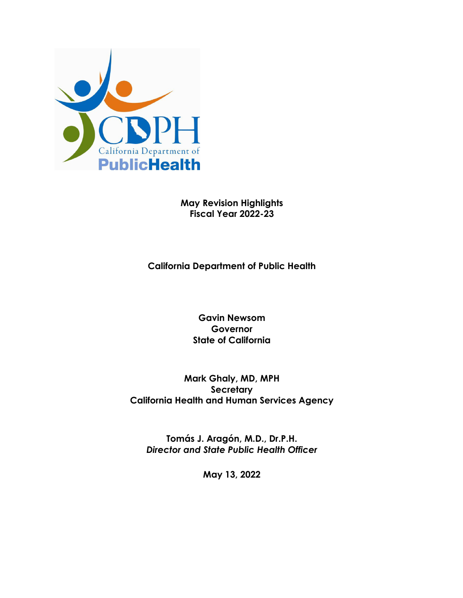

**May Revision Highlights Fiscal Year 2022-23** 

**California Department of Public Health** 

**Gavin Newsom Governor State of California** 

**Mark Ghaly, MD, MPH Secretary California Health and Human Services Agency**

**Tomás J. Aragón, M.D., Dr.P.H.**  *Director and State Public Health Officer* 

**May 13, 2022**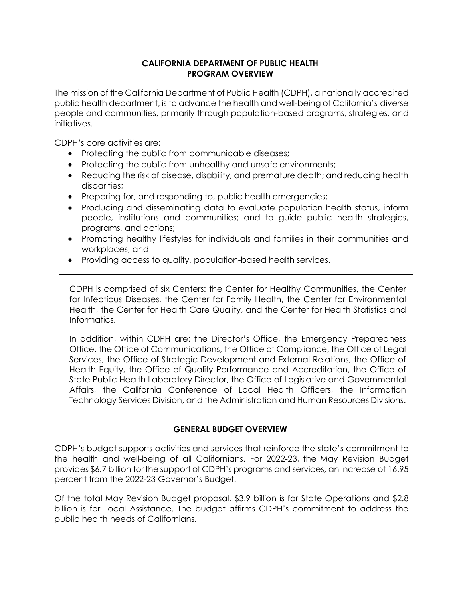## **CALIFORNIA DEPARTMENT OF PUBLIC HEALTH PROGRAM OVERVIEW**

The mission of the California Department of Public Health (CDPH), a nationally accredited public health department, is to advance the health and well-being of California's diverse people and communities, primarily through population-based programs, strategies, and initiatives.

CDPH's core activities are:

- Protecting the public from communicable diseases;
- Protecting the public from unhealthy and unsafe environments;
- Reducing the risk of disease, disability, and premature death; and reducing health disparities;
- Preparing for, and responding to, public health emergencies;
- Producing and disseminating data to evaluate population health status, inform people, institutions and communities; and to guide public health strategies, programs, and actions;
- Promoting healthy lifestyles for individuals and families in their communities and workplaces; and
- Providing access to quality, population-based health services.

CDPH is comprised of six Centers: the Center for Healthy Communities, the Center for Infectious Diseases, the Center for Family Health, the Center for Environmental Health, the Center for Health Care Quality, and the Center for Health Statistics and Informatics.

In addition, within CDPH are: the Director's Office, the Emergency Preparedness Office, the Office of Communications, the Office of Compliance, the Office of Legal Services, the Office of Strategic Development and External Relations, the Office of Health Equity, the Office of Quality Performance and Accreditation, the Office of State Public Health Laboratory Director, the Office of Legislative and Governmental Affairs, the California Conference of Local Health Officers, the Information Technology Services Division, and the Administration and Human Resources Divisions.

#### **GENERAL BUDGET OVERVIEW**

CDPH's budget supports activities and services that reinforce the state's commitment to the health and well-being of all Californians. For 2022-23, the May Revision Budget provides \$6.7 billion for the support of CDPH's programs and services, an increase of 16.95 percent from the 2022-23 Governor's Budget.

Of the total May Revision Budget proposal, \$3.9 billion is for State Operations and \$2.8 billion is for Local Assistance. The budget affirms CDPH's commitment to address the public health needs of Californians.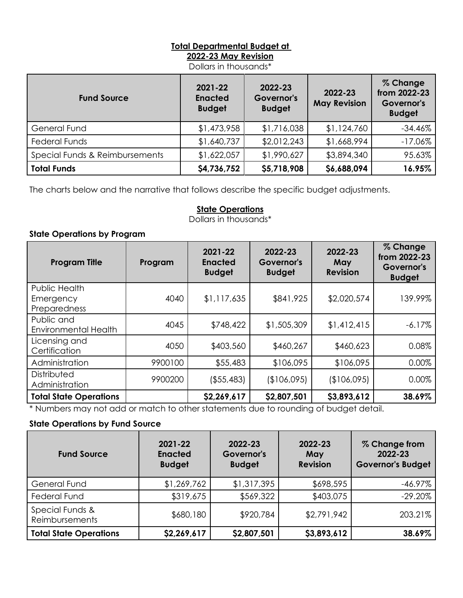## **Total Departmental Budget at 2022-23 May Revision**

Dollars in thousands\*

| <b>Fund Source</b>             | 2021-22<br><b>Enacted</b><br><b>Budget</b> | 2022-23<br>Governor's<br><b>Budget</b> | 2022-23<br><b>May Revision</b> | % Change<br>from 2022-23<br>Governor's<br><b>Budget</b> |
|--------------------------------|--------------------------------------------|----------------------------------------|--------------------------------|---------------------------------------------------------|
| <b>General Fund</b>            | \$1,473,958                                | \$1,716,038                            | \$1,124,760                    | $-34.46\%$                                              |
| <b>Federal Funds</b>           | \$1,640,737                                | \$2,012,243                            | \$1,668,994                    | $-17.06\%$                                              |
| Special Funds & Reimbursements | \$1,622,057                                | \$1,990,627                            | \$3,894,340                    | 95.63%                                                  |
| <b>Total Funds</b>             | \$4,736,752                                | \$5,718,908                            | \$6,688,094                    | 16.95%                                                  |

The charts below and the narrative that follows describe the specific budget adjustments.

# **State Operations**

Dollars in thousands\*

## **State Operations by Program**

| <b>Program Title</b>                       | Program | 2021-22<br><b>Enacted</b><br><b>Budget</b> | 2022-23<br>Governor's<br><b>Budget</b> | 2022-23<br><b>May</b><br><b>Revision</b> | % Change<br>from 2022-23<br>Governor's<br><b>Budget</b> |
|--------------------------------------------|---------|--------------------------------------------|----------------------------------------|------------------------------------------|---------------------------------------------------------|
| Public Health<br>Emergency<br>Preparedness | 4040    | \$1,117,635                                | \$841,925                              | \$2,020,574                              | 139.99%                                                 |
| Public and<br><b>Environmental Health</b>  | 4045    | \$748,422                                  | \$1,505,309                            | \$1,412,415                              | $-6.17%$                                                |
| Licensing and<br>Certification             | 4050    | \$403,560                                  | \$460,267                              | \$460,623                                | 0.08%                                                   |
| Administration                             | 9900100 | \$55,483                                   | \$106,095                              | \$106,095                                | 0.00%                                                   |
| Distributed<br>Administration              | 9900200 | ( \$55,483)                                | (\$106,095)                            | (\$106,095)                              | 0.00%                                                   |
| <b>Total State Operations</b>              |         | \$2,269,617                                | \$2,807,501                            | \$3,893,612                              | 38.69%                                                  |

\* Numbers may not add or match to other statements due to rounding of budget detail.

## **State Operations by Fund Source**

| <b>Fund Source</b>                | $2021 - 22$<br><b>Enacted</b><br><b>Budget</b> | 2022-23<br>Governor's<br><b>Budget</b> | 2022-23<br>May<br><b>Revision</b> | % Change from<br>2022-23<br><b>Governor's Budget</b> |
|-----------------------------------|------------------------------------------------|----------------------------------------|-----------------------------------|------------------------------------------------------|
| <b>General Fund</b>               | \$1,269,762                                    | \$1,317,395                            | \$698,595                         | $-46.97\%$                                           |
| <b>Federal Fund</b>               | \$319,675                                      | \$569,322                              | \$403,075                         | $-29.20\%$                                           |
| Special Funds &<br>Reimbursements | \$680,180                                      | \$920,784                              | \$2,791,942                       | 203.21%                                              |
| <b>Total State Operations</b>     | \$2,269,617                                    | \$2,807,501                            | \$3,893,612                       | 38.69%                                               |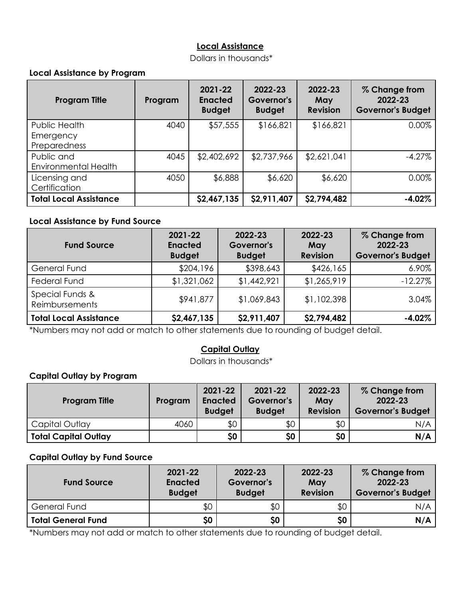## **Local Assistance**

Dollars in thousands\*

## **Local Assistance by Program**

| <b>Program Title</b>                       | Program | 2021-22<br><b>Enacted</b><br><b>Budget</b> | 2022-23<br>Governor's<br><b>Budget</b> | 2022-23<br>May<br><b>Revision</b> | % Change from<br>2022-23<br><b>Governor's Budget</b> |
|--------------------------------------------|---------|--------------------------------------------|----------------------------------------|-----------------------------------|------------------------------------------------------|
| Public Health<br>Emergency<br>Preparedness | 4040    | \$57,555                                   | \$166,821                              | \$166,821                         | 0.00%                                                |
| Public and<br>Environmental Health         | 4045    | \$2,402,692                                | \$2,737,966                            | \$2,621,041                       | $-4.27%$                                             |
| Licensing and<br>Certification             | 4050    | \$6,888                                    | \$6,620                                | \$6,620                           | $0.00\%$                                             |
| <b>Total Local Assistance</b>              |         | \$2,467,135                                | \$2,911,407                            | \$2,794,482                       | $-4.02%$                                             |

#### **Local Assistance by Fund Source**

| <b>Fund Source</b>                | 2021-22<br><b>Enacted</b><br><b>Budget</b> | 2022-23<br>Governor's<br><b>Budget</b> | 2022-23<br>May<br><b>Revision</b> | % Change from<br>2022-23<br><b>Governor's Budget</b> |
|-----------------------------------|--------------------------------------------|----------------------------------------|-----------------------------------|------------------------------------------------------|
| <b>General Fund</b>               | \$204,196                                  | \$398,643                              | \$426,165                         | 6.90%                                                |
| <b>Federal Fund</b>               | \$1,321,062                                | \$1,442,921                            | \$1,265,919                       | $-12.27%$                                            |
| Special Funds &<br>Reimbursements | \$941,877                                  | \$1,069,843                            | \$1,102,398                       | 3.04%                                                |
| <b>Total Local Assistance</b>     | \$2,467,135                                | \$2,911,407                            | \$2,794,482                       | $-4.02%$                                             |

\*Numbers may not add or match to other statements due to rounding of budget detail.

## **Capital Outlay**

Dollars in thousands\*

# **Capital Outlay by Program**

| <b>Program Title</b>        | Program | 2021-22<br><b>Enacted</b><br><b>Budget</b> | $2021 - 22$<br>Governor's<br><b>Budget</b> | 2022-23<br>May<br><b>Revision</b> | % Change from<br>2022-23<br><b>Governor's Budget</b> |
|-----------------------------|---------|--------------------------------------------|--------------------------------------------|-----------------------------------|------------------------------------------------------|
| Capital Outlay              | 4060    | \$0                                        | \$0                                        | \$0                               | N/A                                                  |
| <b>Total Capital Outlay</b> |         | \$0                                        | \$0                                        | \$0                               | N/A                                                  |

## **Capital Outlay by Fund Source**

| <b>Fund Source</b>        | 2021-22<br><b>Enacted</b><br><b>Budget</b> | 2022-23<br>Governor's<br><b>Budget</b> | 2022-23<br>May<br><b>Revision</b> | % Change from<br>2022-23<br><b>Governor's Budget</b> |
|---------------------------|--------------------------------------------|----------------------------------------|-----------------------------------|------------------------------------------------------|
| <b>General Fund</b>       | \$0                                        | \$0                                    | \$0                               | N/A                                                  |
| <b>Total General Fund</b> | \$0                                        | \$0                                    | \$0                               | N/A                                                  |

\*Numbers may not add or match to other statements due to rounding of budget detail.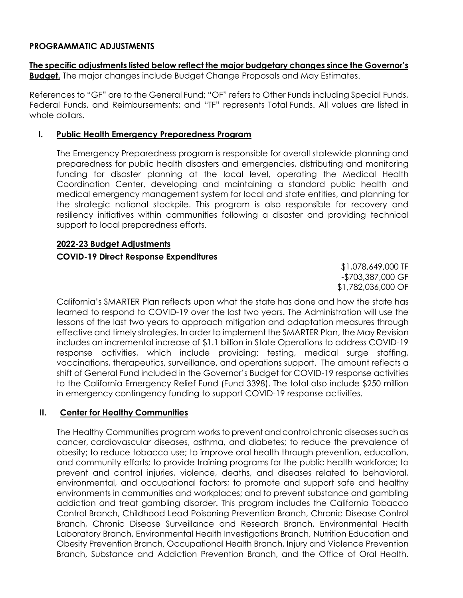#### **PROGRAMMATIC ADJUSTMENTS**

**The specific adjustments listed below reflect the major budgetary changes since the Governor's Budget.** The major changes include Budget Change Proposals and May Estimates.

References to "GF" are to the General Fund; "OF" refers to Other Funds including Special Funds, Federal Funds, and Reimbursements; and "TF" represents Total Funds. All values are listed in whole dollars.

#### **I. Public Health Emergency Preparedness Program**

The Emergency Preparedness program is responsible for overall statewide planning and preparedness for public health disasters and emergencies, distributing and monitoring funding for disaster planning at the local level, operating the Medical Health Coordination Center, developing and maintaining a standard public health and medical emergency management system for local and state entities, and planning for the strategic national stockpile. This program is also responsible for recovery and resiliency initiatives within communities following a disaster and providing technical support to local preparedness efforts.

#### **2022-23 Budget Adjustments**

#### **COVID-19 Direct Response Expenditures**

\$1,078,649,000 TF -\$703,387,000 GF \$1,782,036,000 OF

California's SMARTER Plan reflects upon what the state has done and how the state has learned to respond to COVID-19 over the last two years. The Administration will use the lessons of the last two years to approach mitigation and adaptation measures through effective and timely strategies. In order to implement the SMARTER Plan, the May Revision includes an incremental increase of \$1.1 billion in State Operations to address COVID-19 response activities, which include providing: testing, medical surge staffing, vaccinations, therapeutics, surveillance, and operations support. The amount reflects a shift of General Fund included in the Governor's Budget for COVID-19 response activities to the California Emergency Relief Fund (Fund 3398). The total also include \$250 million in emergency contingency funding to support COVID-19 response activities.

## **II. Center for Healthy Communities**

The Healthy Communities program worksto prevent and control chronic diseasessuchas cancer, cardiovascular diseases, asthma, and diabetes; to reduce the prevalence of obesity; to reduce tobacco use; to improve oral health through prevention, education, and community efforts; to provide training programs for the public health workforce; to prevent and control injuries, violence, deaths, and diseases related to behavioral, environmental, and occupational factors; to promote and support safe and healthy environments in communities and workplaces; and to prevent substance and gambling addiction and treat gambling disorder. This program includes the California Tobacco Control Branch, Childhood Lead Poisoning Prevention Branch, Chronic Disease Control Branch, Chronic Disease Surveillance and Research Branch, Environmental Health Laboratory Branch, Environmental Health Investigations Branch, Nutrition Education and Obesity Prevention Branch, Occupational Health Branch, Injury and Violence Prevention Branch, Substance and Addiction Prevention Branch, and the Office of Oral Health.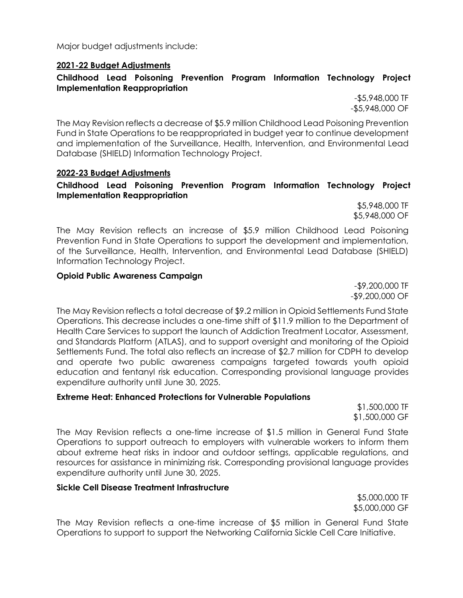Major budget adjustments include:

## **2021-22 Budget Adjustments**

#### **Childhood Lead Poisoning Prevention Program Information Technology Project Implementation Reappropriation**

-\$5,948,000 TF -\$5,948,000 OF

The May Revision reflects a decrease of \$5.9 million Childhood Lead Poisoning Prevention Fund in State Operations to be reappropriated in budget year to continue development and implementation of the Surveillance, Health, Intervention, and Environmental Lead Database (SHIELD) Information Technology Project.

#### **2022-23 Budget Adjustments**

## **Childhood Lead Poisoning Prevention Program Information Technology Project Implementation Reappropriation**

\$5,948,000 TF \$5,948,000 OF

The May Revision reflects an increase of \$5.9 million Childhood Lead Poisoning Prevention Fund in State Operations to support the development and implementation, of the Surveillance, Health, Intervention, and Environmental Lead Database (SHIELD) Information Technology Project.

#### **Opioid Public Awareness Campaign**

-\$9,200,000 TF -\$9,200,000 OF

The May Revision reflects a total decrease of \$9.2 million in Opioid Settlements Fund State Operations. This decrease includes a one-time shift of \$11.9 million to the Department of Health Care Services to support the launch of Addiction Treatment Locator, Assessment, and Standards Platform (ATLAS), and to support oversight and monitoring of the Opioid Settlements Fund. The total also reflects an increase of \$2.7 million for CDPH to develop and operate two public awareness campaigns targeted towards youth opioid education and fentanyl risk education. Corresponding provisional language provides expenditure authority until June 30, 2025.

#### **Extreme Heat: Enhanced Protections for Vulnerable Populations**

\$1,500,000 TF \$1,500,000 GF

The May Revision reflects a one-time increase of \$1.5 million in General Fund State Operations to support outreach to employers with vulnerable workers to inform them about extreme heat risks in indoor and outdoor settings, applicable regulations, and resources for assistance in minimizing risk. Corresponding provisional language provides expenditure authority until June 30, 2025.

#### **Sickle Cell Disease Treatment Infrastructure**

\$5,000,000 TF \$5,000,000 GF

The May Revision reflects a one-time increase of \$5 million in General Fund State Operations to support to support the Networking California Sickle Cell Care Initiative.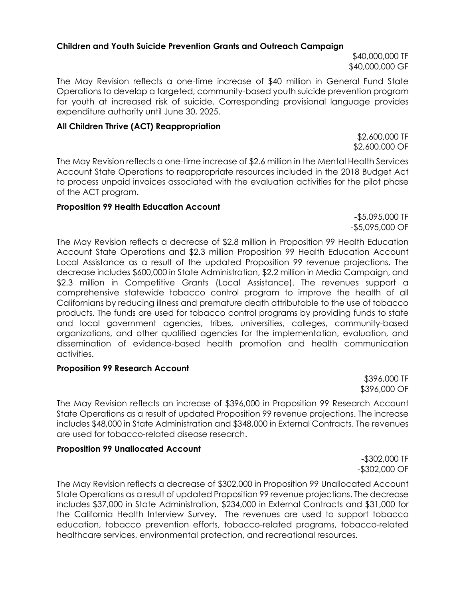#### **Children and Youth Suicide Prevention Grants and Outreach Campaign**

\$40,000,000 TF \$40,000,000 GF

The May Revision reflects a one-time increase of \$40 million in General Fund State Operations to develop a targeted, community-based youth suicide prevention program for youth at increased risk of suicide. Corresponding provisional language provides expenditure authority until June 30, 2025.

#### **All Children Thrive (ACT) Reappropriation**

\$2,600,000 TF \$2,600,000 OF

The May Revision reflects a one-time increase of \$2.6 million in the Mental Health Services Account State Operations to reappropriate resources included in the 2018 Budget Act to process unpaid invoices associated with the evaluation activities for the pilot phase of the ACT program.

#### **Proposition 99 Health Education Account**

-\$5,095,000 TF -\$5,095,000 OF

The May Revision reflects a decrease of \$2.8 million in Proposition 99 Health Education Account State Operations and \$2.3 million Proposition 99 Health Education Account Local Assistance as a result of the updated Proposition 99 revenue projections. The decrease includes \$600,000 in State Administration, \$2.2 million in Media Campaign, and \$2.3 million in Competitive Grants (Local Assistance). The revenues support a comprehensive statewide tobacco control program to improve the health of all Californians by reducing illness and premature death attributable to the use of tobacco products. The funds are used for tobacco control programs by providing funds to state and local government agencies, tribes, universities, colleges, community-based organizations, and other qualified agencies for the implementation, evaluation, and dissemination of evidence-based health promotion and health communication activities.

#### **Proposition 99 Research Account**

\$396,000 TF \$396,000 OF

The May Revision reflects an increase of \$396,000 in Proposition 99 Research Account State Operations as a result of updated Proposition 99 revenue projections. The increase includes \$48,000 in State Administration and \$348,000 in External Contracts. The revenues are used for tobacco-related disease research.

#### **Proposition 99 Unallocated Account**

-\$302,000 TF -\$302,000 OF

The May Revision reflects a decrease of \$302,000 in Proposition 99 Unallocated Account State Operations as a result of updated Proposition 99 revenue projections. The decrease includes \$37,000 in State Administration, \$234,000 in External Contracts and \$31,000 for the California Health Interview Survey. The revenues are used to support tobacco education, tobacco prevention efforts, tobacco-related programs, tobacco-related healthcare services, environmental protection, and recreational resources.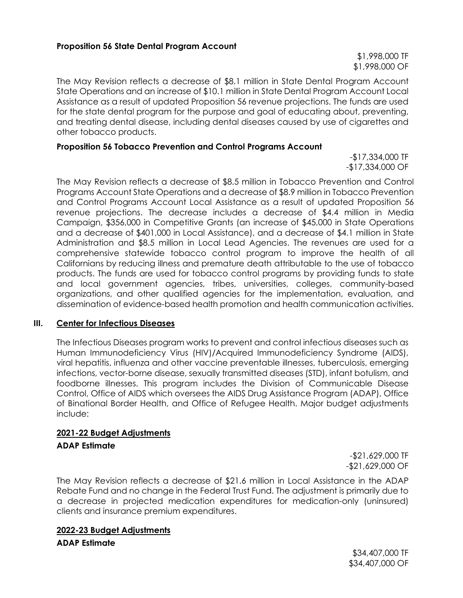\$1,998,000 TF \$1,998,000 OF

The May Revision reflects a decrease of \$8.1 million in State Dental Program Account State Operations and an increase of \$10.1 million in State Dental Program Account Local Assistance as a result of updated Proposition 56 revenue projections. The funds are used for the state dental program for the purpose and goal of educating about, preventing, and treating dental disease, including dental diseases caused by use of cigarettes and other tobacco products.

#### **Proposition 56 Tobacco Prevention and Control Programs Account**

-\$17,334,000 TF -\$17,334,000 OF

The May Revision reflects a decrease of \$8.5 million in Tobacco Prevention and Control Programs Account State Operations and a decrease of \$8.9 million in Tobacco Prevention and Control Programs Account Local Assistance as a result of updated Proposition 56 revenue projections. The decrease includes a decrease of \$4.4 million in Media Campaign, \$356,000 in Competitive Grants (an increase of \$45,000 in State Operations and a decrease of \$401,000 in Local Assistance), and a decrease of \$4.1 million in State Administration and \$8.5 million in Local Lead Agencies. The revenues are used for a comprehensive statewide tobacco control program to improve the health of all Californians by reducing illness and premature death attributable to the use of tobacco products. The funds are used for tobacco control programs by providing funds to state and local government agencies, tribes, universities, colleges, community-based organizations, and other qualified agencies for the implementation, evaluation, and dissemination of evidence-based health promotion and health communication activities.

#### **III. Center for Infectious Diseases**

The Infectious Diseases program works to prevent and control infectious diseases such as Human Immunodeficiency Virus (HIV)/Acquired Immunodeficiency Syndrome (AIDS), viral hepatitis, influenza and other vaccine preventable illnesses, tuberculosis, emerging infections, vector-borne disease, sexually transmitted diseases (STD), infant botulism, and foodborne illnesses. This program includes the Division of Communicable Disease Control, Office of AIDS which oversees the AIDS Drug Assistance Program (ADAP), Office of Binational Border Health, and Office of Refugee Health. Major budget adjustments include:

# **2021-22 Budget Adjustments**

#### **ADAP Estimate**

-\$21,629,000 TF -\$21,629,000 OF

The May Revision reflects a decrease of \$21.6 million in Local Assistance in the ADAP Rebate Fund and no change in the Federal Trust Fund. The adjustment is primarily due to a decrease in projected medication expenditures for medication-only (uninsured) clients and insurance premium expenditures.

#### **2022-23 Budget Adjustments**

**ADAP Estimate**

\$34,407,000 TF \$34,407,000 OF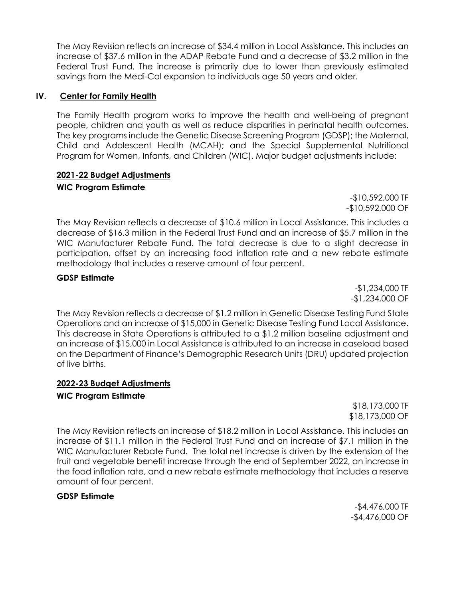The May Revision reflects an increase of \$34.4 million in Local Assistance. This includes an increase of \$37.6 million in the ADAP Rebate Fund and a decrease of \$3.2 million in the Federal Trust Fund. The increase is primarily due to lower than previously estimated savings from the Medi-Cal expansion to individuals age 50 years and older.

#### **IV. Center for Family Health**

The Family Health program works to improve the health and well-being of pregnant people, children and youth as well as reduce disparities in perinatal health outcomes. The key programs include the Genetic Disease Screening Program (GDSP); the Maternal, Child and Adolescent Health (MCAH); and the Special Supplemental Nutritional Program for Women, Infants, and Children (WIC). Major budget adjustments include:

#### **2021-22 Budget Adjustments WIC Program Estimate**

-\$10,592,000 TF -\$10,592,000 OF

The May Revision reflects a decrease of \$10.6 million in Local Assistance. This includes a decrease of \$16.3 million in the Federal Trust Fund and an increase of \$5.7 million in the WIC Manufacturer Rebate Fund. The total decrease is due to a slight decrease in participation, offset by an increasing food inflation rate and a new rebate estimate methodology that includes a reserve amount of four percent.

#### **GDSP Estimate**

-\$1,234,000 TF -\$1,234,000 OF

The May Revision reflects a decrease of \$1.2 million in Genetic Disease Testing Fund State Operations and an increase of \$15,000 in Genetic Disease Testing Fund Local Assistance. This decrease in State Operations is attributed to a \$1.2 million baseline adjustment and an increase of \$15,000 in Local Assistance is attributed to an increase in caseload based on the Department of Finance's Demographic Research Units (DRU) updated projection of live births.

## **2022-23 Budget Adjustments**

#### **WIC Program Estimate**

\$18,173,000 TF \$18,173,000 OF

The May Revision reflects an increase of \$18.2 million in Local Assistance. This includes an increase of \$11.1 million in the Federal Trust Fund and an increase of \$7.1 million in the WIC Manufacturer Rebate Fund. The total net increase is driven by the extension of the fruit and vegetable benefit increase through the end of September 2022, an increase in the food inflation rate, and a new rebate estimate methodology that includes a reserve amount of four percent.

## **GDSP Estimate**

-\$4,476,000 TF -\$4,476,000 OF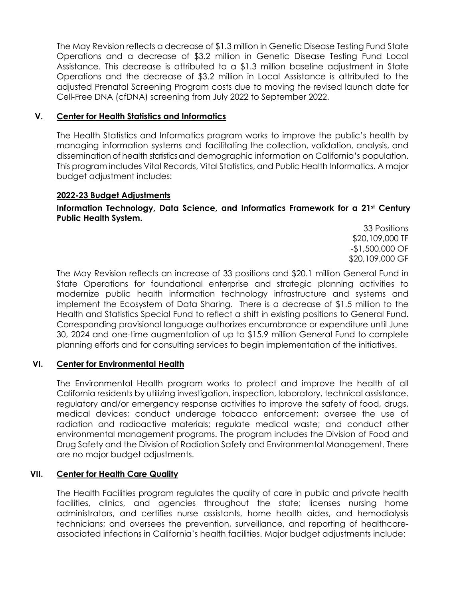The May Revision reflects a decrease of \$1.3 million in Genetic Disease Testing Fund State Operations and a decrease of \$3.2 million in Genetic Disease Testing Fund Local Assistance. This decrease is attributed to a \$1.3 million baseline adjustment in State Operations and the decrease of \$3.2 million in Local Assistance is attributed to the adjusted Prenatal Screening Program costs due to moving the revised launch date for Cell-Free DNA (cfDNA) screening from July 2022 to September 2022.

## **V. Center for Health Statistics and Informatics**

The Health Statistics and Informatics program works to improve the public's health by managing information systems and facilitating the collection, validation, analysis, and dissemination of health statistics and demographic information on California's population. This program includes Vital Records, Vital Statistics, and Public Health Informatics. A major budget adjustment includes:

#### **2022-23 Budget Adjustments**

**Information Technology, Data Science, and Informatics Framework for a 21st Century Public Health System.**

> 33 Positions \$20,109,000 TF -\$1,500,000 OF \$20,109,000 GF

The May Revision reflects an increase of 33 positions and \$20.1 million General Fund in State Operations for foundational enterprise and strategic planning activities to modernize public health information technology infrastructure and systems and implement the Ecosystem of Data Sharing. There is a decrease of \$1.5 million to the Health and Statistics Special Fund to reflect a shift in existing positions to General Fund. Corresponding provisional language authorizes encumbrance or expenditure until June 30, 2024 and one-time augmentation of up to \$15.9 million General Fund to complete planning efforts and for consulting services to begin implementation of the initiatives.

## **VI. Center for Environmental Health**

The Environmental Health program works to protect and improve the health of all California residents by utilizing investigation, inspection, laboratory, technical assistance, regulatory and/or emergency response activities to improve the safety of food, drugs, medical devices; conduct underage tobacco enforcement; oversee the use of radiation and radioactive materials; regulate medical waste; and conduct other environmental management programs. The program includes the Division of Food and Drug Safety and the Division of Radiation Safety and Environmental Management. There are no major budget adjustments.

## **VII. Center for Health Care Quality**

The Health Facilities program regulates the quality of care in public and private health facilities, clinics, and agencies throughout the state; licenses nursing home administrators, and certifies nurse assistants, home health aides, and hemodialysis technicians; and oversees the prevention, surveillance, and reporting of healthcareassociated infections in California's health facilities. Major budget adjustments include: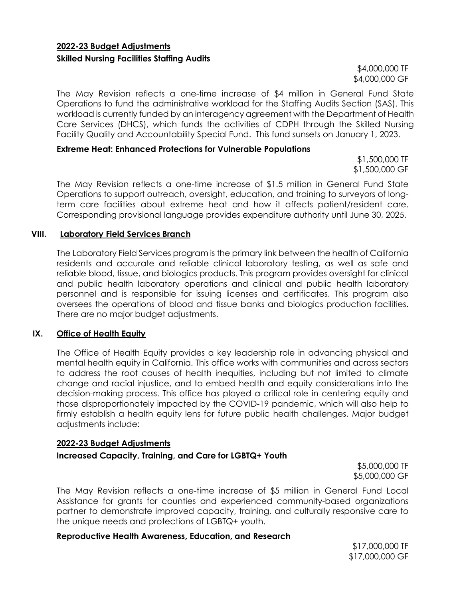## **2022-23 Budget Adjustments Skilled Nursing Facilities Staffing Audits**

\$4,000,000 TF \$4,000,000 GF

The May Revision reflects a one-time increase of \$4 million in General Fund State Operations to fund the administrative workload for the Staffing Audits Section (SAS). This workload is currently funded by an interagency agreement with the Department of Health Care Services (DHCS), which funds the activities of CDPH through the Skilled Nursing Facility Quality and Accountability Special Fund. This fund sunsets on January 1, 2023.

#### **Extreme Heat: Enhanced Protections for Vulnerable Populations**

\$1,500,000 TF \$1,500,000 GF

The May Revision reflects a one-time increase of \$1.5 million in General Fund State Operations to support outreach, oversight, education, and training to surveyors of longterm care facilities about extreme heat and how it affects patient/resident care. Corresponding provisional language provides expenditure authority until June 30, 2025.

#### **VIII. Laboratory Field Services Branch**

The Laboratory Field Services program is the primary link between the health of California residents and accurate and reliable clinical laboratory testing, as well as safe and reliable blood, tissue, and biologics products. This program provides oversight for clinical and public health laboratory operations and clinical and public health laboratory personnel and is responsible for issuing licenses and certificates. This program also oversees the operations of blood and tissue banks and biologics production facilities. There are no major budget adjustments.

#### **IX. Office of Health Equity**

The Office of Health Equity provides a key leadership role in advancing physical and mental health equity in California. This office works with communities and across sectors to address the root causes of health inequities, including but not limited to climate change and racial injustice, and to embed health and equity considerations into the decision-making process. This office has played a critical role in centering equity and those disproportionately impacted by the COVID-19 pandemic, which will also help to firmly establish a health equity lens for future public health challenges. Major budget adjustments include:

#### **2022-23 Budget Adjustments**

#### **Increased Capacity, Training, and Care for LGBTQ+ Youth**

\$5,000,000 TF \$5,000,000 GF

The May Revision reflects a one-time increase of \$5 million in General Fund Local Assistance for grants for counties and experienced community-based organizations partner to demonstrate improved capacity, training, and culturally responsive care to the unique needs and protections of LGBTQ+ youth.

#### **Reproductive Health Awareness, Education, and Research**

\$17,000,000 TF \$17,000,000 GF